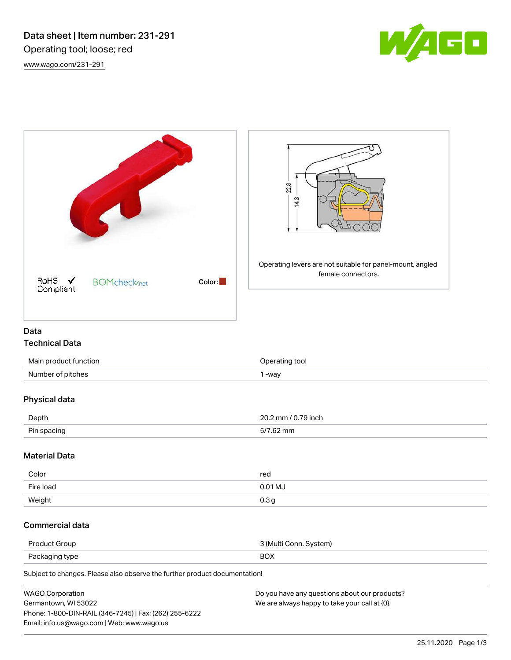





# Data Technical Data

| Main product function | Operating tool |
|-----------------------|----------------|
| Number of pitches     | -way           |

# Physical data

| Depth       | 0.79 inch<br>$20.2 \text{ mm}$ |
|-------------|--------------------------------|
| Pin spacing | mm                             |

# Material Data

| Color     | red              |
|-----------|------------------|
| Fire load | 0.01 MJ          |
| Weight    | 0.3 <sub>g</sub> |

# Commercial data

| Product Group  | 3 (Multi Conn. System) |
|----------------|------------------------|
| Packaging type | <b>BOX</b>             |

Subject to changes. Please also observe the further product documentation!

| <b>WAGO Corporation</b>                                | Do you have any questions about our products? |
|--------------------------------------------------------|-----------------------------------------------|
| Germantown, WI 53022                                   | We are always happy to take your call at {0}. |
| Phone: 1-800-DIN-RAIL (346-7245)   Fax: (262) 255-6222 |                                               |
| Email: info.us@wago.com   Web: www.wago.us             |                                               |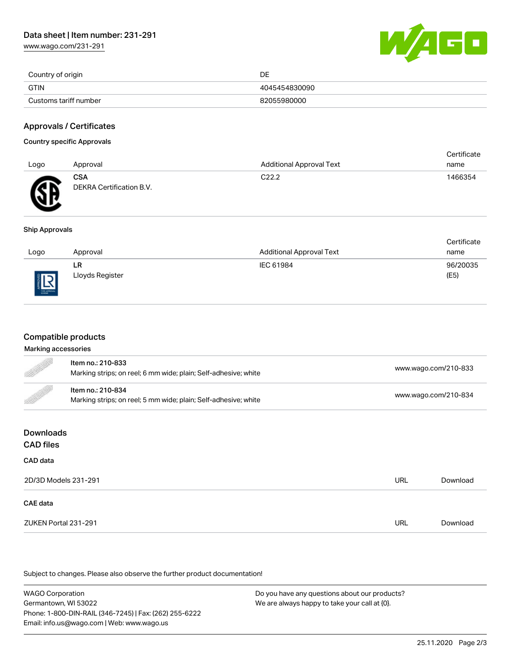# Data sheet | Item number: 231-291

[www.wago.com/231-291](http://www.wago.com/231-291)



| Country of origin     | DE            |
|-----------------------|---------------|
| <b>GTIN</b>           | 4045454830090 |
| Customs tariff number | 82055980000   |

## Approvals / Certificates

## Country specific Approvals

|           |                                        |                                 | Certificate |
|-----------|----------------------------------------|---------------------------------|-------------|
| Logo      | Approval                               | <b>Additional Approval Text</b> | name        |
| <b>AP</b> | <b>CSA</b><br>DEKRA Certification B.V. | C22.2                           | 1466354     |

### Ship Approvals

|                         |                 |                                 | Certificate |
|-------------------------|-----------------|---------------------------------|-------------|
| Logo                    | Approval        | <b>Additional Approval Text</b> | name        |
|                         | LR              | IEC 61984                       | 96/20035    |
| "<br><b>E INCHERITE</b> | Lloyds Register |                                 | (E5)        |

## Compatible products

# Marking accessories

| d de la concela de la concela de la concela de la concela de la concela de la concela de la concela de la conc       | Item no.: 210-833<br>Marking strips; on reel; 6 mm wide; plain; Self-adhesive; white | www.wago.com/210-833 |
|----------------------------------------------------------------------------------------------------------------------|--------------------------------------------------------------------------------------|----------------------|
| <b>Contract on the Contract of the Contract of The Contract of The Contract of The Contract of The Contract of T</b> | Item no.: 210-834<br>Marking strips; on reel; 5 mm wide; plain; Self-adhesive; white | www.wago.com/210-834 |
|                                                                                                                      |                                                                                      |                      |

# Downloads CAD files

| 2D/3D Models 231-291 | URL | Download |
|----------------------|-----|----------|
| CAE data             |     |          |
| ZUKEN Portal 231-291 | URL | Download |

Subject to changes. Please also observe the further product documentation!

WAGO Corporation Germantown, WI 53022 Phone: 1-800-DIN-RAIL (346-7245) | Fax: (262) 255-6222 Email: info.us@wago.com | Web: www.wago.us Do you have any questions about our products? We are always happy to take your call at {0}.